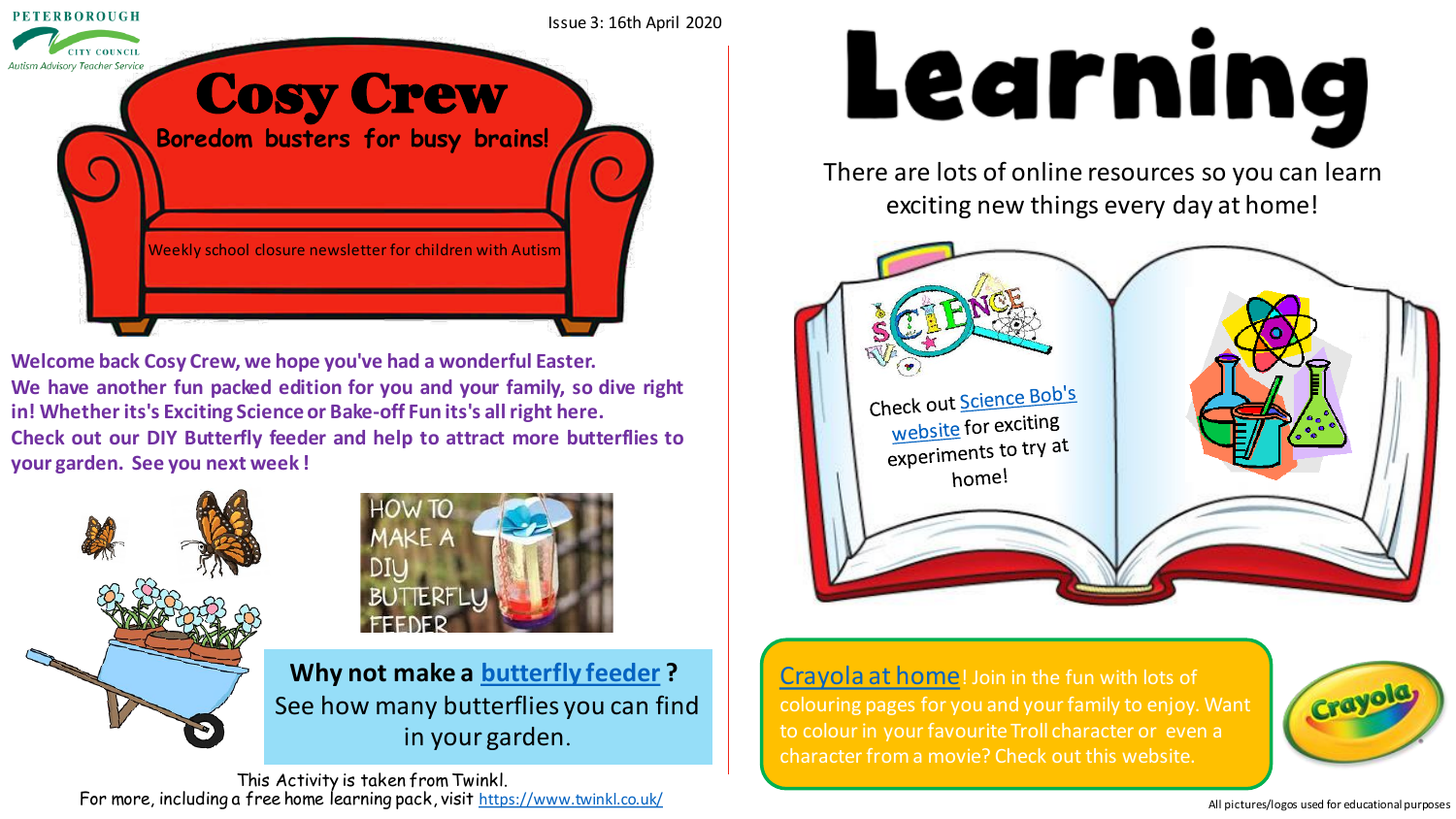

**Welcome back Cosy Crew, we hope you've had a wonderful Easter. We have another fun packed edition for you and your family, so dive right in! Whether its's Exciting Science or Bake-off Fun its's allright here. Check out our DIY Butterfly feeder and help to attract more butterflies to your garden. See you next week !**





**Why not make a [butterfly feeder](https://www.twinkl.co.uk/resource/butterfly-feeder-stem-activity-and-resource-pack-au-sc-2327) ?** See how many butterflies you can find in your garden.

This Activity is taken from Twinkl. For more, including a free home learning pack, visit <https://www.twinkl.co.uk/> All pictures/logos used for educational purposes

# Learning

There are lots of online resources so you can learn exciting new things every day at home!



[Crayola at home](https://www.crayola.com/athome)! Join in the fun with lots of colouring pages for you and your family to enjoy. Want to colour in your favourite Troll character or even a character from a movie? Check out this website.